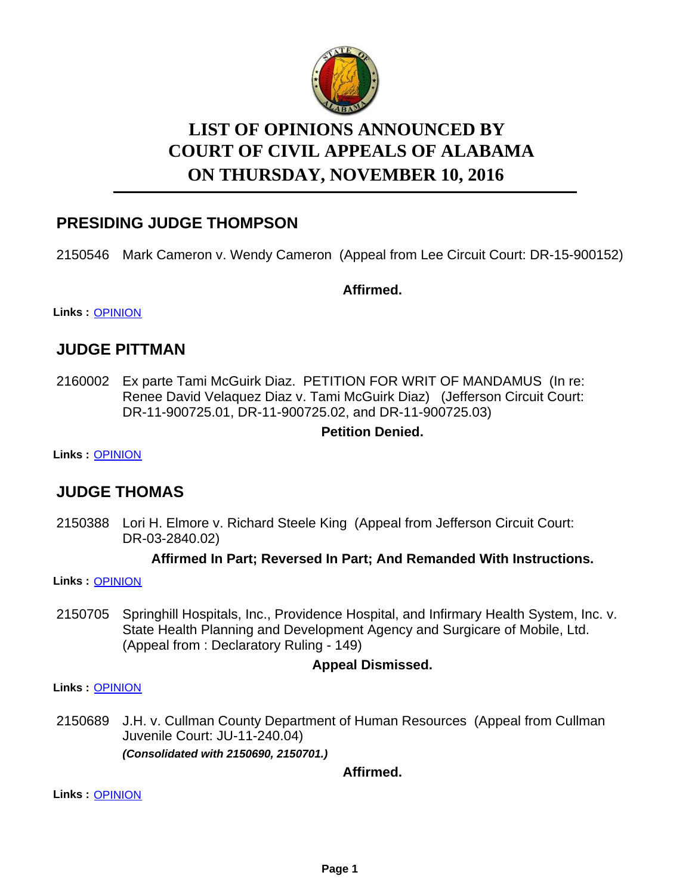

# **LIST OF OPINIONS ANNOUNCED BY ON THURSDAY, NOVEMBER 10, 2016 COURT OF CIVIL APPEALS OF ALABAMA**

# **PRESIDING JUDGE THOMPSON**

2150546 Mark Cameron v. Wendy Cameron (Appeal from Lee Circuit Court: DR-15-900152)

**Affirmed.**

**Links :** [OPINION](https://acis.alabama.gov/displaydocs.cfm?no=769656&event=4RV0K66ZZ)

### **JUDGE PITTMAN**

2160002 Ex parte Tami McGuirk Diaz. PETITION FOR WRIT OF MANDAMUS (In re: Renee David Velaquez Diaz v. Tami McGuirk Diaz) (Jefferson Circuit Court: DR-11-900725.01, DR-11-900725.02, and DR-11-900725.03)

#### **Petition Denied.**

**Links :** [OPINION](https://acis.alabama.gov/displaydocs.cfm?no=769661&event=4RV0K6855)

# **JUDGE THOMAS**

2150388 Lori H. Elmore v. Richard Steele King (Appeal from Jefferson Circuit Court: DR-03-2840.02)

#### **Affirmed In Part; Reversed In Part; And Remanded With Instructions.**

**Links :** [OPINION](https://acis.alabama.gov/displaydocs.cfm?no=769654&event=4RV0K66JJ)

2150705 Springhill Hospitals, Inc., Providence Hospital, and Infirmary Health System, Inc. v. State Health Planning and Development Agency and Surgicare of Mobile, Ltd. (Appeal from : Declaratory Ruling - 149)

### **Appeal Dismissed.**

**Links :** [OPINION](https://acis.alabama.gov/displaydocs.cfm?no=769660&event=4RV0K67Z4)

2150689 J.H. v. Cullman County Department of Human Resources (Appeal from Cullman Juvenile Court: JU-11-240.04) *(Consolidated with 2150690, 2150701.)*

**Affirmed.**

**Links :** [OPINION](https://acis.alabama.gov/displaydocs.cfm?no=769659&event=4RV0K67HS)